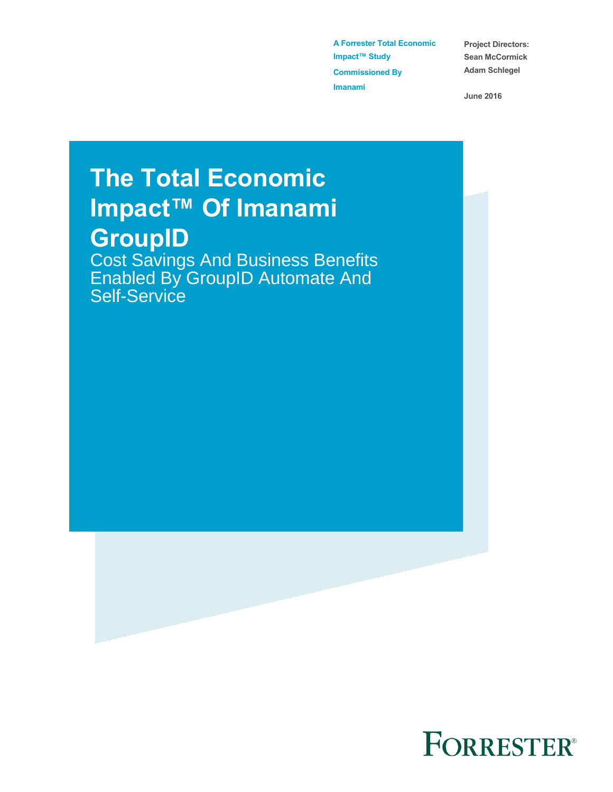**A Forrester Total Economic Impact™ Study Commissioned By Imanami** 

**Project Directors: Sean McCormick Adam Schlegel**

**June 2016**

# **The Total Economic Impact™ Of Imanami GroupID**

Cost Savings And Business Benefits Enabled By GroupID Automate And Self-Service

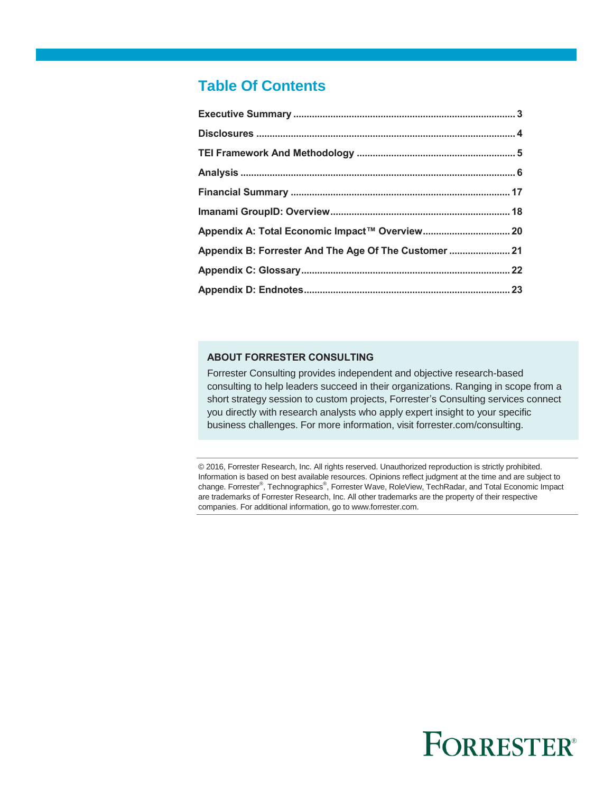### **Table Of Contents**

| Appendix B: Forrester And The Age Of The Customer  21 |  |
|-------------------------------------------------------|--|
|                                                       |  |
|                                                       |  |

#### **ABOUT FORRESTER CONSULTING**

Forrester Consulting provides independent and objective research-based consulting to help leaders succeed in their organizations. Ranging in scope from a short strategy session to custom projects, Forrester's Consulting services connect you directly with research analysts who apply expert insight to your specific business challenges. For more information, visit forrester.com/consulting.

© 2016, Forrester Research, Inc. All rights reserved. Unauthorized reproduction is strictly prohibited. Information is based on best available resources. Opinions reflect judgment at the time and are subject to change. Forrester®, Technographics®, Forrester Wave, RoleView, TechRadar, and Total Economic Impact are trademarks of Forrester Research, Inc. All other trademarks are the property of their respective companies. For additional information, go to www.forrester.com.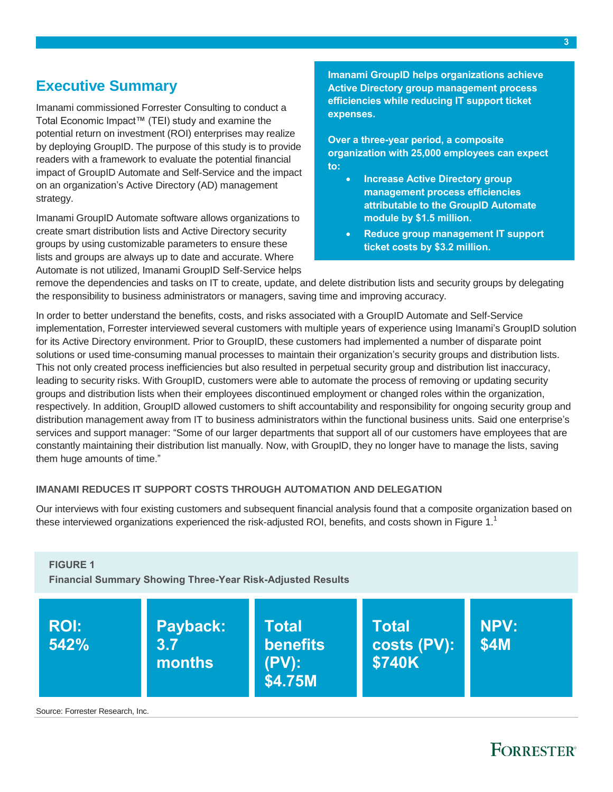### <span id="page-2-0"></span>**Executive Summary**

Imanami commissioned Forrester Consulting to conduct a Total Economic Impact™ (TEI) study and examine the potential return on investment (ROI) enterprises may realize by deploying GroupID. The purpose of this study is to provide readers with a framework to evaluate the potential financial impact of GroupID Automate and Self-Service and the impact on an organization's Active Directory (AD) management strategy.

Imanami GroupID Automate software allows organizations to create smart distribution lists and Active Directory security groups by using customizable parameters to ensure these lists and groups are always up to date and accurate. Where Automate is not utilized, Imanami GroupID Self-Service helps **Imanami GroupID helps organizations achieve Active Directory group management process efficiencies while reducing IT support ticket expenses.** 

**Over a three-year period, a composite organization with 25,000 employees can expect to:** 

- **Increase Active Directory group management process efficiencies attributable to the GroupID Automate module by \$1.5 million.**
- **Reduce group management IT support ticket costs by \$3.2 million.**

remove the dependencies and tasks on IT to create, update, and delete distribution lists and security groups by delegating the responsibility to business administrators or managers, saving time and improving accuracy.

In order to better understand the benefits, costs, and risks associated with a GroupID Automate and Self-Service implementation, Forrester interviewed several customers with multiple years of experience using Imanami's GroupID solution for its Active Directory environment. Prior to GroupID, these customers had implemented a number of disparate point solutions or used time-consuming manual processes to maintain their organization's security groups and distribution lists. This not only created process inefficiencies but also resulted in perpetual security group and distribution list inaccuracy, leading to security risks. With GroupID, customers were able to automate the process of removing or updating security groups and distribution lists when their employees discontinued employment or changed roles within the organization, respectively. In addition, GroupID allowed customers to shift accountability and responsibility for ongoing security group and distribution management away from IT to business administrators within the functional business units. Said one enterprise's services and support manager: "Some of our larger departments that support all of our customers have employees that are constantly maintaining their distribution list manually. Now, with GroupID, they no longer have to manage the lists, saving them huge amounts of time."

#### **IMANAMI REDUCES IT SUPPORT COSTS THROUGH AUTOMATION AND DELEGATION**

Our interviews with four existing customers and subsequent financial analysis found that a composite organization based on these interviewed organizations experienced the risk-adjusted ROI, benefits, and costs shown in Figure 1.<sup>1</sup>



Source: Forrester Research, Inc.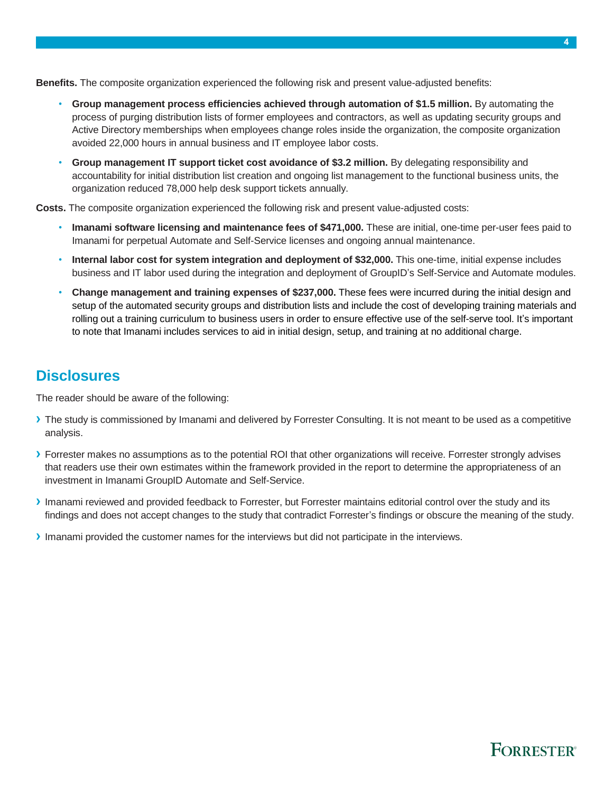**Benefits.** The composite organization experienced the following risk and present value-adjusted benefits:

- **Group management process efficiencies achieved through automation of \$1.5 million.** By automating the process of purging distribution lists of former employees and contractors, as well as updating security groups and Active Directory memberships when employees change roles inside the organization, the composite organization avoided 22,000 hours in annual business and IT employee labor costs.
- **Group management IT support ticket cost avoidance of \$3.2 million.** By delegating responsibility and accountability for initial distribution list creation and ongoing list management to the functional business units, the organization reduced 78,000 help desk support tickets annually.

**Costs.** The composite organization experienced the following risk and present value-adjusted costs:

- **Imanami software licensing and maintenance fees of \$471,000.** These are initial, one-time per-user fees paid to Imanami for perpetual Automate and Self-Service licenses and ongoing annual maintenance.
- **Internal labor cost for system integration and deployment of \$32,000.** This one-time, initial expense includes business and IT labor used during the integration and deployment of GroupID's Self-Service and Automate modules.
- **Change management and training expenses of \$237,000.** These fees were incurred during the initial design and setup of the automated security groups and distribution lists and include the cost of developing training materials and rolling out a training curriculum to business users in order to ensure effective use of the self-serve tool. It's important to note that Imanami includes services to aid in initial design, setup, and training at no additional charge.

### <span id="page-3-0"></span>**Disclosures**

The reader should be aware of the following:

- **›** The study is commissioned by Imanami and delivered by Forrester Consulting. It is not meant to be used as a competitive analysis.
- **›** Forrester makes no assumptions as to the potential ROI that other organizations will receive. Forrester strongly advises that readers use their own estimates within the framework provided in the report to determine the appropriateness of an investment in Imanami GroupID Automate and Self-Service.
- **›** Imanami reviewed and provided feedback to Forrester, but Forrester maintains editorial control over the study and its findings and does not accept changes to the study that contradict Forrester's findings or obscure the meaning of the study.
- **›** Imanami provided the customer names for the interviews but did not participate in the interviews.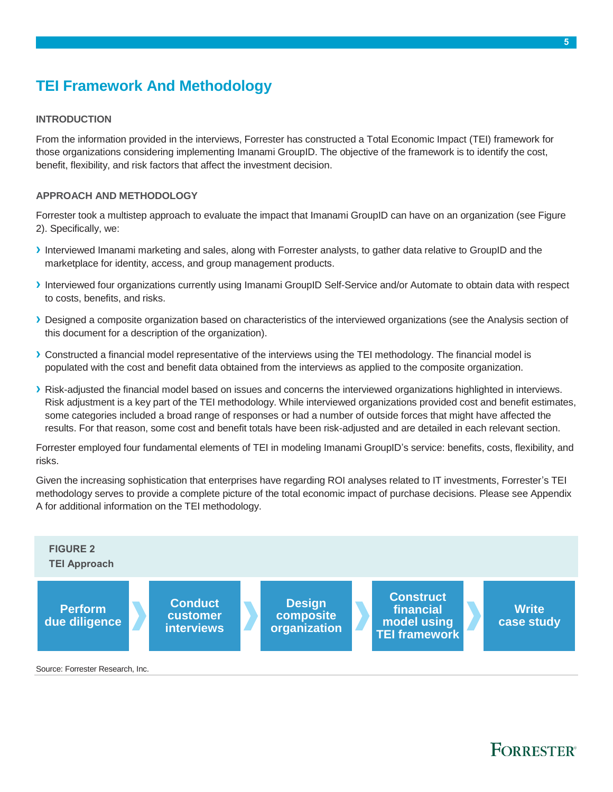### <span id="page-4-0"></span>**TEI Framework And Methodology**

#### **INTRODUCTION**

From the information provided in the interviews, Forrester has constructed a Total Economic Impact (TEI) framework for those organizations considering implementing Imanami GroupID. The objective of the framework is to identify the cost, benefit, flexibility, and risk factors that affect the investment decision.

#### **APPROACH AND METHODOLOGY**

Forrester took a multistep approach to evaluate the impact that Imanami GroupID can have on an organization (see Figure 2). Specifically, we:

- **›** Interviewed Imanami marketing and sales, along with Forrester analysts, to gather data relative to GroupID and the marketplace for identity, access, and group management products.
- **›** Interviewed four organizations currently using Imanami GroupID Self-Service and/or Automate to obtain data with respect to costs, benefits, and risks.
- **›** Designed a composite organization based on characteristics of the interviewed organizations (see the Analysis section of this document for a description of the organization).
- **›** Constructed a financial model representative of the interviews using the TEI methodology. The financial model is populated with the cost and benefit data obtained from the interviews as applied to the composite organization.
- **›** Risk-adjusted the financial model based on issues and concerns the interviewed organizations highlighted in interviews. Risk adjustment is a key part of the TEI methodology. While interviewed organizations provided cost and benefit estimates, some categories included a broad range of responses or had a number of outside forces that might have affected the results. For that reason, some cost and benefit totals have been risk-adjusted and are detailed in each relevant section.

Forrester employed four fundamental elements of TEI in modeling Imanami GroupID's service: benefits, costs, flexibility, and risks.

Given the increasing sophistication that enterprises have regarding ROI analyses related to IT investments, Forrester's TEI methodology serves to provide a complete picture of the total economic impact of purchase decisions. Please see Appendix A for additional information on the TEI methodology.



Source: Forrester Research, Inc.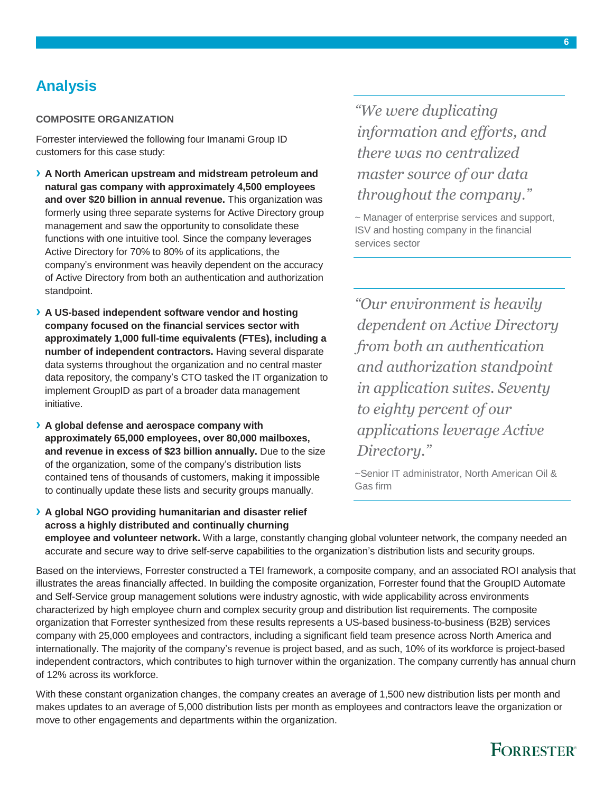### <span id="page-5-0"></span>**Analysis**

#### **COMPOSITE ORGANIZATION**

Forrester interviewed the following four Imanami Group ID customers for this case study:

- **› A North American upstream and midstream petroleum and natural gas company with approximately 4,500 employees and over \$20 billion in annual revenue.** This organization was formerly using three separate systems for Active Directory group management and saw the opportunity to consolidate these functions with one intuitive tool. Since the company leverages Active Directory for 70% to 80% of its applications, the company's environment was heavily dependent on the accuracy of Active Directory from both an authentication and authorization standpoint.
- **› A US-based independent software vendor and hosting company focused on the financial services sector with approximately 1,000 full-time equivalents (FTEs), including a number of independent contractors.** Having several disparate data systems throughout the organization and no central master data repository, the company's CTO tasked the IT organization to implement GroupID as part of a broader data management initiative.
- **› A global defense and aerospace company with approximately 65,000 employees, over 80,000 mailboxes, and revenue in excess of \$23 billion annually.** Due to the size of the organization, some of the company's distribution lists contained tens of thousands of customers, making it impossible to continually update these lists and security groups manually.
- **› A global NGO providing humanitarian and disaster relief across a highly distributed and continually churning**

*"We were duplicating information and efforts, and there was no centralized master source of our data throughout the company."*

~ Manager of enterprise services and support, ISV and hosting company in the financial services sector

*"Our environment is heavily dependent on Active Directory from both an authentication and authorization standpoint in application suites. Seventy to eighty percent of our applications leverage Active Directory."*

~Senior IT administrator, North American Oil & Gas firm

**employee and volunteer network.** With a large, constantly changing global volunteer network, the company needed an accurate and secure way to drive self-serve capabilities to the organization's distribution lists and security groups.

Based on the interviews, Forrester constructed a TEI framework, a composite company, and an associated ROI analysis that illustrates the areas financially affected. In building the composite organization, Forrester found that the GroupID Automate and Self-Service group management solutions were industry agnostic, with wide applicability across environments characterized by high employee churn and complex security group and distribution list requirements. The composite organization that Forrester synthesized from these results represents a US-based business-to-business (B2B) services company with 25,000 employees and contractors, including a significant field team presence across North America and internationally. The majority of the company's revenue is project based, and as such, 10% of its workforce is project-based independent contractors, which contributes to high turnover within the organization. The company currently has annual churn of 12% across its workforce.

With these constant organization changes, the company creates an average of 1,500 new distribution lists per month and makes updates to an average of 5,000 distribution lists per month as employees and contractors leave the organization or move to other engagements and departments within the organization.

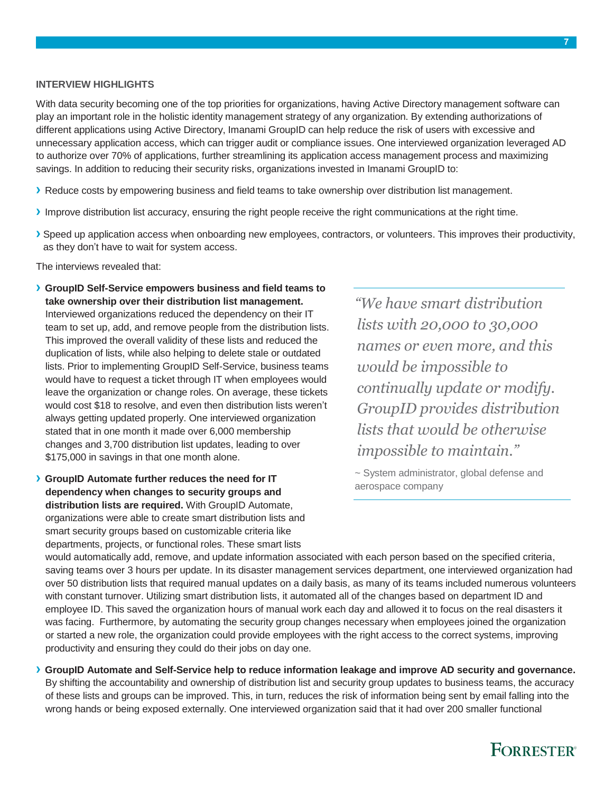#### **INTERVIEW HIGHLIGHTS**

With data security becoming one of the top priorities for organizations, having Active Directory management software can play an important role in the holistic identity management strategy of any organization. By extending authorizations of different applications using Active Directory, Imanami GroupID can help reduce the risk of users with excessive and unnecessary application access, which can trigger audit or compliance issues. One interviewed organization leveraged AD to authorize over 70% of applications, further streamlining its application access management process and maximizing savings. In addition to reducing their security risks, organizations invested in Imanami GroupID to:

- **›** Reduce costs by empowering business and field teams to take ownership over distribution list management.
- **›** Improve distribution list accuracy, ensuring the right people receive the right communications at the right time.
- **›** Speed up application access when onboarding new employees, contractors, or volunteers. This improves their productivity, as they don't have to wait for system access.

The interviews revealed that:

- **› GroupID Self-Service empowers business and field teams to take ownership over their distribution list management.** Interviewed organizations reduced the dependency on their IT team to set up, add, and remove people from the distribution lists. This improved the overall validity of these lists and reduced the duplication of lists, while also helping to delete stale or outdated lists. Prior to implementing GroupID Self-Service, business teams would have to request a ticket through IT when employees would leave the organization or change roles. On average, these tickets would cost \$18 to resolve, and even then distribution lists weren't always getting updated properly. One interviewed organization stated that in one month it made over 6,000 membership changes and 3,700 distribution list updates, leading to over \$175,000 in savings in that one month alone.
- **› GroupID Automate further reduces the need for IT dependency when changes to security groups and distribution lists are required.** With GroupID Automate, organizations were able to create smart distribution lists and smart security groups based on customizable criteria like departments, projects, or functional roles. These smart lists

*"We have smart distribution lists with 20,000 to 30,000 names or even more, and this would be impossible to continually update or modify. GroupID provides distribution lists that would be otherwise impossible to maintain."*

~ System administrator, global defense and aerospace company

would automatically add, remove, and update information associated with each person based on the specified criteria, saving teams over 3 hours per update. In its disaster management services department, one interviewed organization had over 50 distribution lists that required manual updates on a daily basis, as many of its teams included numerous volunteers with constant turnover. Utilizing smart distribution lists, it automated all of the changes based on department ID and employee ID. This saved the organization hours of manual work each day and allowed it to focus on the real disasters it was facing. Furthermore, by automating the security group changes necessary when employees joined the organization or started a new role, the organization could provide employees with the right access to the correct systems, improving productivity and ensuring they could do their jobs on day one.

**› GroupID Automate and Self-Service help to reduce information leakage and improve AD security and governance.**  By shifting the accountability and ownership of distribution list and security group updates to business teams, the accuracy of these lists and groups can be improved. This, in turn, reduces the risk of information being sent by email falling into the wrong hands or being exposed externally. One interviewed organization said that it had over 200 smaller functional

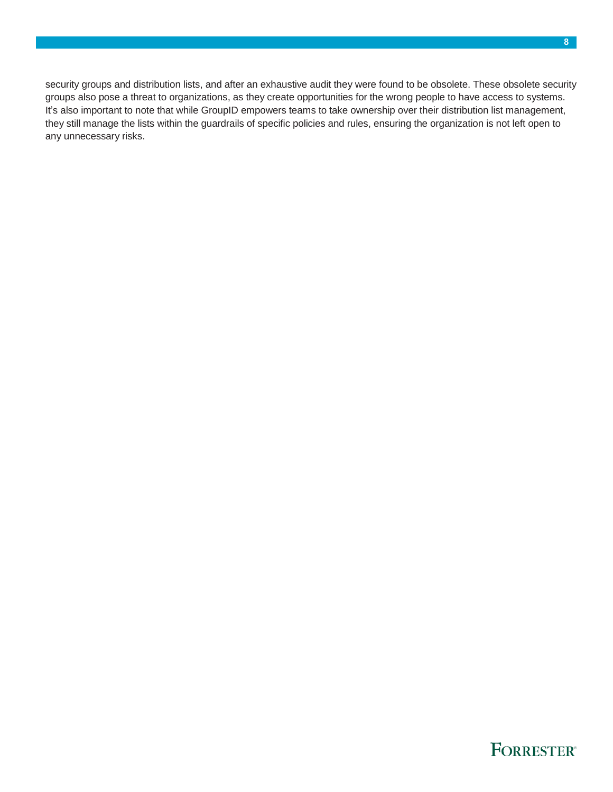security groups and distribution lists, and after an exhaustive audit they were found to be obsolete. These obsolete security groups also pose a threat to organizations, as they create opportunities for the wrong people to have access to systems. It's also important to note that while GroupID empowers teams to take ownership over their distribution list management, they still manage the lists within the guardrails of specific policies and rules, ensuring the organization is not left open to any unnecessary risks.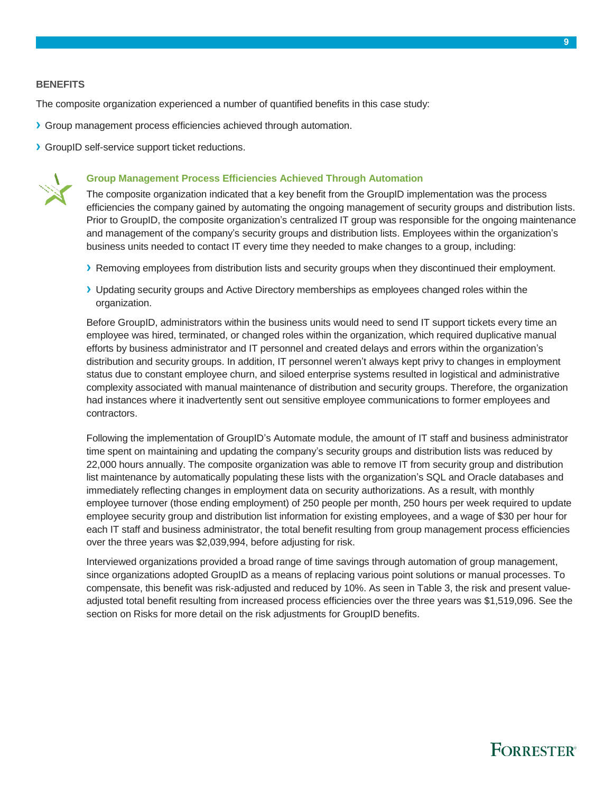#### **BENEFITS**

The composite organization experienced a number of quantified benefits in this case study:

- **›** Group management process efficiencies achieved through automation.
- **›** GroupID self-service support ticket reductions.



#### **Group Management Process Efficiencies Achieved Through Automation**

The composite organization indicated that a key benefit from the GroupID implementation was the process efficiencies the company gained by automating the ongoing management of security groups and distribution lists. Prior to GroupID, the composite organization's centralized IT group was responsible for the ongoing maintenance and management of the company's security groups and distribution lists. Employees within the organization's business units needed to contact IT every time they needed to make changes to a group, including:

- **›** Removing employees from distribution lists and security groups when they discontinued their employment.
- **›** Updating security groups and Active Directory memberships as employees changed roles within the organization.

Before GroupID, administrators within the business units would need to send IT support tickets every time an employee was hired, terminated, or changed roles within the organization, which required duplicative manual efforts by business administrator and IT personnel and created delays and errors within the organization's distribution and security groups. In addition, IT personnel weren't always kept privy to changes in employment status due to constant employee churn, and siloed enterprise systems resulted in logistical and administrative complexity associated with manual maintenance of distribution and security groups. Therefore, the organization had instances where it inadvertently sent out sensitive employee communications to former employees and contractors.

Following the implementation of GroupID's Automate module, the amount of IT staff and business administrator time spent on maintaining and updating the company's security groups and distribution lists was reduced by 22,000 hours annually. The composite organization was able to remove IT from security group and distribution list maintenance by automatically populating these lists with the organization's SQL and Oracle databases and immediately reflecting changes in employment data on security authorizations. As a result, with monthly employee turnover (those ending employment) of 250 people per month, 250 hours per week required to update employee security group and distribution list information for existing employees, and a wage of \$30 per hour for each IT staff and business administrator, the total benefit resulting from group management process efficiencies over the three years was \$2,039,994, before adjusting for risk.

Interviewed organizations provided a broad range of time savings through automation of group management, since organizations adopted GroupID as a means of replacing various point solutions or manual processes. To compensate, this benefit was risk-adjusted and reduced by 10%. As seen in Table 3, the risk and present valueadjusted total benefit resulting from increased process efficiencies over the three years was \$1,519,096. See the section on Risks for more detail on the risk adjustments for GroupID benefits.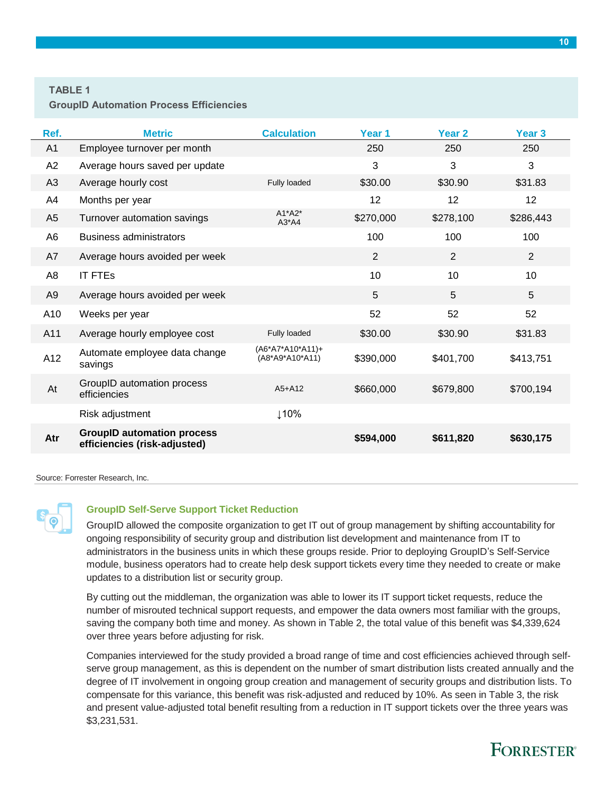#### **TABLE 1**

**GroupID Automation Process Efficiencies** 

| Ref.           | <b>Metric</b>                                                     | <b>Calculation</b>                    | Year 1         | Year <sub>2</sub> | Year <sub>3</sub> |
|----------------|-------------------------------------------------------------------|---------------------------------------|----------------|-------------------|-------------------|
| A1             | Employee turnover per month                                       |                                       | 250            | 250               | 250               |
| A <sub>2</sub> | Average hours saved per update                                    |                                       | 3              | 3                 | 3                 |
| A <sub>3</sub> | Average hourly cost                                               | Fully loaded                          | \$30.00        | \$30.90           | \$31.83           |
| A4             | Months per year                                                   |                                       | 12             | 12                | 12                |
| A <sub>5</sub> | Turnover automation savings                                       | $A1^*A2^*$<br>$A3^*AA$                | \$270,000      | \$278,100         | \$286,443         |
| A6             | <b>Business administrators</b>                                    |                                       | 100            | 100               | 100               |
| A7             | Average hours avoided per week                                    |                                       | $\overline{2}$ | $\overline{2}$    | $\overline{2}$    |
| A8             | <b>IT FTES</b>                                                    |                                       | 10             | 10                | 10 <sup>1</sup>   |
| A <sub>9</sub> | Average hours avoided per week                                    |                                       | 5              | 5                 | 5                 |
| A10            | Weeks per year                                                    |                                       | 52             | 52                | 52                |
| A11            | Average hourly employee cost                                      | <b>Fully loaded</b>                   | \$30.00        | \$30.90           | \$31.83           |
| A12            | Automate employee data change<br>savings                          | $(A6*A7*A10*A11)+$<br>(A8*A9*A10*A11) | \$390,000      | \$401,700         | \$413,751         |
| At             | GroupID automation process<br>efficiencies                        | $A5+A12$                              | \$660,000      | \$679,800         | \$700,194         |
|                | Risk adjustment                                                   | ↓10%                                  |                |                   |                   |
| Atr            | <b>GroupID automation process</b><br>efficiencies (risk-adjusted) |                                       | \$594,000      | \$611,820         | \$630,175         |

Source: Forrester Research, Inc.



#### **GroupID Self-Serve Support Ticket Reduction**

GroupID allowed the composite organization to get IT out of group management by shifting accountability for ongoing responsibility of security group and distribution list development and maintenance from IT to administrators in the business units in which these groups reside. Prior to deploying GroupID's Self-Service module, business operators had to create help desk support tickets every time they needed to create or make updates to a distribution list or security group.

By cutting out the middleman, the organization was able to lower its IT support ticket requests, reduce the number of misrouted technical support requests, and empower the data owners most familiar with the groups, saving the company both time and money. As shown in Table 2, the total value of this benefit was \$4,339,624 over three years before adjusting for risk.

Companies interviewed for the study provided a broad range of time and cost efficiencies achieved through selfserve group management, as this is dependent on the number of smart distribution lists created annually and the degree of IT involvement in ongoing group creation and management of security groups and distribution lists. To compensate for this variance, this benefit was risk-adjusted and reduced by 10%. As seen in Table 3, the risk and present value-adjusted total benefit resulting from a reduction in IT support tickets over the three years was \$3,231,531.

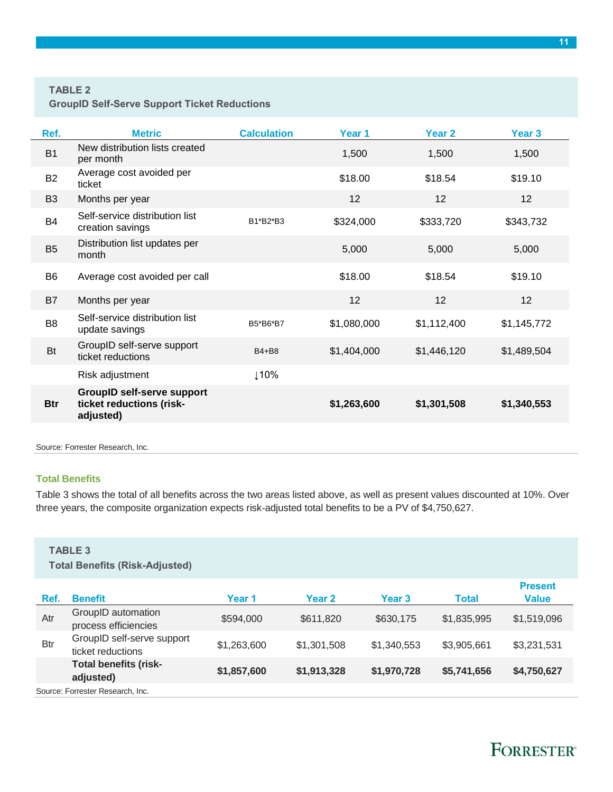#### **TABLE 2**

**GroupID Self-Serve Support Ticket Reductions**

| Ref.           | <b>Metric</b>                                                              | <b>Calculation</b> | Year 1      | Year <sub>2</sub> | Year <sub>3</sub> |
|----------------|----------------------------------------------------------------------------|--------------------|-------------|-------------------|-------------------|
| <b>B1</b>      | New distribution lists created<br>per month                                |                    | 1,500       | 1,500             | 1,500             |
| <b>B2</b>      | Average cost avoided per<br>ticket                                         |                    | \$18.00     | \$18.54           | \$19.10           |
| B <sub>3</sub> | Months per year                                                            |                    | 12          | 12                | 12                |
| <b>B4</b>      | Self-service distribution list<br>creation savings                         | B1*B2*B3           | \$324,000   | \$333,720         | \$343,732         |
| B <sub>5</sub> | Distribution list updates per<br>month                                     |                    | 5,000       | 5,000             | 5,000             |
| B <sub>6</sub> | Average cost avoided per call                                              |                    | \$18.00     | \$18.54           | \$19.10           |
| B7             | Months per year                                                            |                    | 12          | 12 <sup>2</sup>   | 12                |
| B <sub>8</sub> | Self-service distribution list<br>update savings                           | B5*B6*B7           | \$1,080,000 | \$1,112,400       | \$1,145,772       |
| <b>Bt</b>      | GroupID self-serve support<br>ticket reductions                            | B4+B8              | \$1,404,000 | \$1,446,120       | \$1,489,504       |
|                | Risk adjustment                                                            | ↓10%               |             |                   |                   |
| <b>Btr</b>     | <b>GroupID self-serve support</b><br>ticket reductions (risk-<br>adjusted) |                    | \$1,263,600 | \$1,301,508       | \$1,340,553       |
|                |                                                                            |                    |             |                   |                   |

Source: Forrester Research, Inc.

#### **Total Benefits**

Table 3 shows the total of all benefits across the two areas listed above, as well as present values discounted at 10%. Over three years, the composite organization expects risk-adjusted total benefits to be a PV of \$4,750,627.

#### **TABLE 3**

**Total Benefits (Risk-Adjusted)**

| Ref.       | <b>Benefit</b>                                  | Year 1      | Year 2      | Year 3      | Total       | <b>Present</b><br>Value |  |  |
|------------|-------------------------------------------------|-------------|-------------|-------------|-------------|-------------------------|--|--|
| Atr        | GroupID automation<br>process efficiencies      | \$594,000   | \$611,820   | \$630,175   | \$1,835,995 | \$1,519,096             |  |  |
| <b>Btr</b> | GroupID self-serve support<br>ticket reductions | \$1,263,600 | \$1,301,508 | \$1,340,553 | \$3,905,661 | \$3,231,531             |  |  |
|            | <b>Total benefits (risk-</b><br>adjusted)       | \$1,857,600 | \$1,913,328 | \$1,970,728 | \$5,741,656 | \$4,750,627             |  |  |
|            | Source: Forrester Research, Inc.                |             |             |             |             |                         |  |  |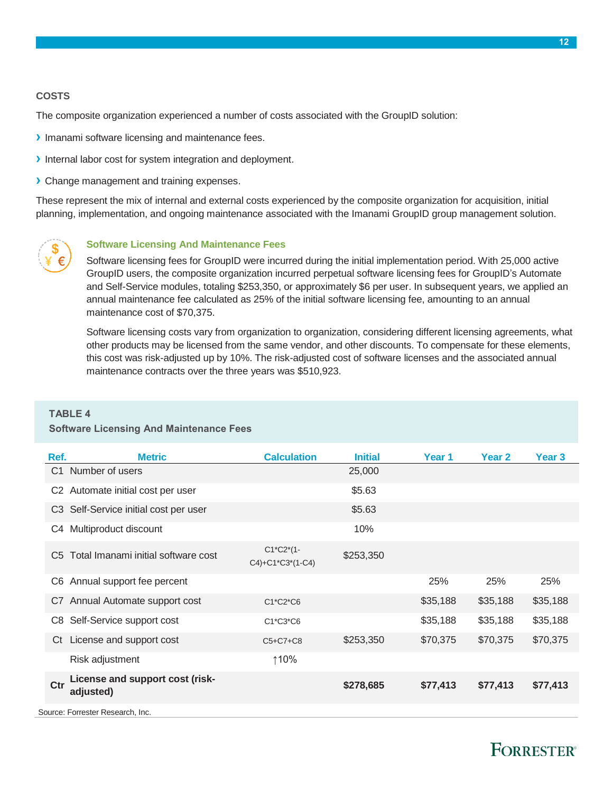#### **COSTS**

The composite organization experienced a number of costs associated with the GroupID solution:

- **›** Imanami software licensing and maintenance fees.
- **›** Internal labor cost for system integration and deployment.
- **›** Change management and training expenses.

These represent the mix of internal and external costs experienced by the composite organization for acquisition, initial planning, implementation, and ongoing maintenance associated with the Imanami GroupID group management solution.



#### **Software Licensing And Maintenance Fees**

Software licensing fees for GroupID were incurred during the initial implementation period. With 25,000 active GroupID users, the composite organization incurred perpetual software licensing fees for GroupID's Automate and Self-Service modules, totaling \$253,350, or approximately \$6 per user. In subsequent years, we applied an annual maintenance fee calculated as 25% of the initial software licensing fee, amounting to an annual maintenance cost of \$70,375.

Software licensing costs vary from organization to organization, considering different licensing agreements, what other products may be licensed from the same vendor, and other discounts. To compensate for these elements, this cost was risk-adjusted up by 10%. The risk-adjusted cost of software licenses and the associated annual maintenance contracts over the three years was \$510,923.

#### **TABLE 4**

#### **Software Licensing And Maintenance Fees**

| Ref.           | <b>Metric</b>                                | <b>Calculation</b>                          | <b>Initial</b> | Year 1   | Year 2   | Year <sub>3</sub> |
|----------------|----------------------------------------------|---------------------------------------------|----------------|----------|----------|-------------------|
| C <sub>1</sub> | Number of users                              |                                             | 25,000         |          |          |                   |
| C <sub>2</sub> | Automate initial cost per user               |                                             | \$5.63         |          |          |                   |
|                | C3 Self-Service initial cost per user        |                                             | \$5.63         |          |          |                   |
| C4             | Multiproduct discount                        |                                             | 10%            |          |          |                   |
| C <sub>5</sub> | Total Imanami initial software cost          | $C1^{\ast}C2^{\ast}(1-$<br>C4)+C1*C3*(1-C4) | \$253,350      |          |          |                   |
|                | C6 Annual support fee percent                |                                             |                | 25%      | 25%      | 25%               |
|                | C7 Annual Automate support cost              | $C1*C2*C6$                                  |                | \$35,188 | \$35,188 | \$35,188          |
| C8             | Self-Service support cost                    | C1*C3*C6                                    |                | \$35,188 | \$35,188 | \$35,188          |
|                | Ct License and support cost                  | $C5+C7+C8$                                  | \$253,350      | \$70,375 | \$70,375 | \$70,375          |
|                | Risk adjustment                              | ↑10%                                        |                |          |          |                   |
| Ctr            | License and support cost (risk-<br>adjusted) |                                             | \$278,685      | \$77,413 | \$77,413 | \$77,413          |
|                | Source: Forrester Research, Inc.             |                                             |                |          |          |                   |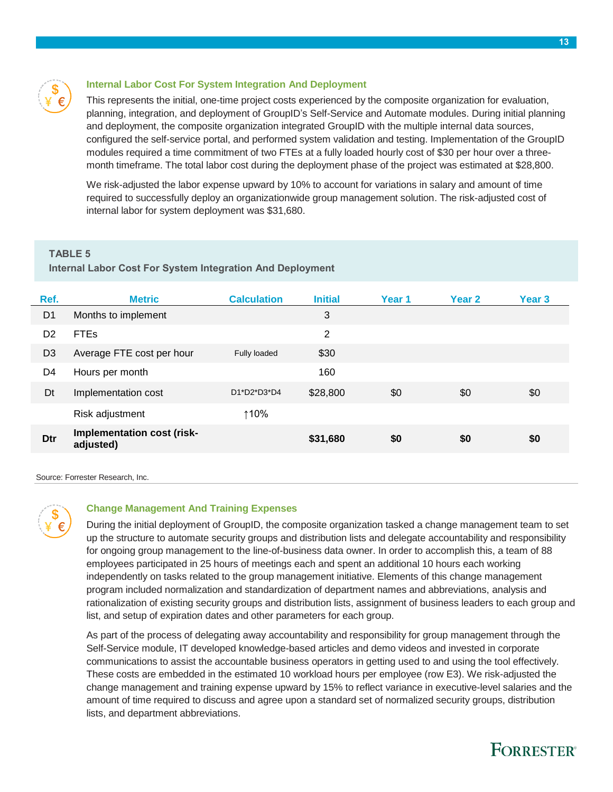#### **Internal Labor Cost For System Integration And Deployment**

This represents the initial, one-time project costs experienced by the composite organization for evaluation, planning, integration, and deployment of GroupID's Self-Service and Automate modules. During initial planning and deployment, the composite organization integrated GroupID with the multiple internal data sources, configured the self-service portal, and performed system validation and testing. Implementation of the GroupID modules required a time commitment of two FTEs at a fully loaded hourly cost of \$30 per hour over a threemonth timeframe. The total labor cost during the deployment phase of the project was estimated at \$28,800.

We risk-adjusted the labor expense upward by 10% to account for variations in salary and amount of time required to successfully deploy an organizationwide group management solution. The risk-adjusted cost of internal labor for system deployment was \$31,680.

#### **TABLE 5**

#### **Internal Labor Cost For System Integration And Deployment**

| Ref.           | <b>Metric</b>                           | <b>Calculation</b> | <b>Initial</b> | Year 1 | Year <sub>2</sub> | Year 3 |
|----------------|-----------------------------------------|--------------------|----------------|--------|-------------------|--------|
| D <sub>1</sub> | Months to implement                     |                    | 3              |        |                   |        |
| D <sub>2</sub> | <b>FTEs</b>                             |                    | 2              |        |                   |        |
| D <sub>3</sub> | Average FTE cost per hour               | Fully loaded       | \$30           |        |                   |        |
| D4             | Hours per month                         |                    | 160            |        |                   |        |
| Dt             | Implementation cost                     | D1*D2*D3*D4        | \$28,800       | \$0    | \$0               | \$0    |
|                | Risk adjustment                         | ↑10%               |                |        |                   |        |
| Dtr            | Implementation cost (risk-<br>adjusted) |                    | \$31,680       | \$0    | \$0               | \$0    |

Source: Forrester Research, Inc.



#### **Change Management And Training Expenses**

During the initial deployment of GroupID, the composite organization tasked a change management team to set up the structure to automate security groups and distribution lists and delegate accountability and responsibility for ongoing group management to the line-of-business data owner. In order to accomplish this, a team of 88 employees participated in 25 hours of meetings each and spent an additional 10 hours each working independently on tasks related to the group management initiative. Elements of this change management program included normalization and standardization of department names and abbreviations, analysis and rationalization of existing security groups and distribution lists, assignment of business leaders to each group and list, and setup of expiration dates and other parameters for each group.

As part of the process of delegating away accountability and responsibility for group management through the Self-Service module, IT developed knowledge-based articles and demo videos and invested in corporate communications to assist the accountable business operators in getting used to and using the tool effectively. These costs are embedded in the estimated 10 workload hours per employee (row E3). We risk-adjusted the change management and training expense upward by 15% to reflect variance in executive-level salaries and the amount of time required to discuss and agree upon a standard set of normalized security groups, distribution lists, and department abbreviations.

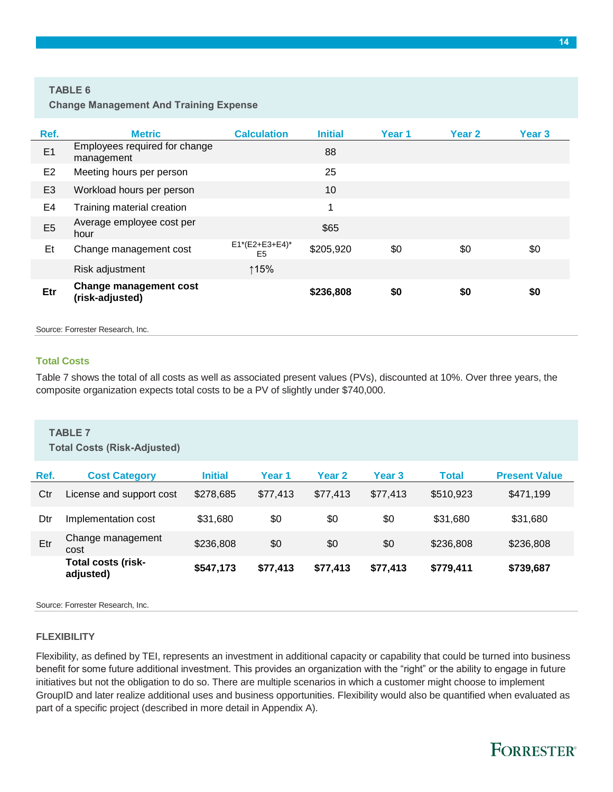#### **TABLE 6**

**Change Management And Training Expense** 

| Ref.           | <b>Metric</b>                                    | <b>Calculation</b>                  | <b>Initial</b> | Year 1 | Year 2 | Year 3 |
|----------------|--------------------------------------------------|-------------------------------------|----------------|--------|--------|--------|
| E1             | Employees required for change<br>management      |                                     | 88             |        |        |        |
| E <sub>2</sub> | Meeting hours per person                         |                                     | 25             |        |        |        |
| E <sub>3</sub> | Workload hours per person                        |                                     | 10             |        |        |        |
| E4             | Training material creation                       |                                     | 1              |        |        |        |
| E <sub>5</sub> | Average employee cost per<br>hour                |                                     | \$65           |        |        |        |
| Et             | Change management cost                           | $E1*(E2+E3+E4)^*$<br>E <sub>5</sub> | \$205,920      | \$0    | \$0    | \$0    |
|                | Risk adjustment                                  | ↑15%                                |                |        |        |        |
| Etr            | <b>Change management cost</b><br>(risk-adjusted) |                                     | \$236,808      | \$0    | \$0    | \$0    |

Source: Forrester Research, Inc.

#### **Total Costs**

Table 7 shows the total of all costs as well as associated present values (PVs), discounted at 10%. Over three years, the composite organization expects total costs to be a PV of slightly under \$740,000.

|      | <b>TABLE 7</b><br><b>Total Costs (Risk-Adjusted)</b> |                |          |                   |                   |              |                      |  |  |
|------|------------------------------------------------------|----------------|----------|-------------------|-------------------|--------------|----------------------|--|--|
| Ref. | <b>Cost Category</b>                                 | <b>Initial</b> | Year 1   | Year <sub>2</sub> | Year <sub>3</sub> | <b>Total</b> | <b>Present Value</b> |  |  |
| Ctr  | License and support cost                             | \$278,685      | \$77.413 | \$77.413          | \$77.413          | \$510,923    | \$471.199            |  |  |
| Dtr  | Implementation cost                                  | \$31.680       | \$0      | \$0               | \$0               | \$31,680     | \$31,680             |  |  |
| Etr  | Change management<br>cost                            | \$236,808      | \$0      | \$0               | \$0               | \$236,808    | \$236,808            |  |  |
|      | Total costs (risk-<br>adjusted)                      | \$547,173      | \$77,413 | \$77,413          | \$77,413          | \$779,411    | \$739,687            |  |  |

Source: Forrester Research, Inc.

#### **FLEXIBILITY**

Flexibility, as defined by TEI, represents an investment in additional capacity or capability that could be turned into business benefit for some future additional investment. This provides an organization with the "right" or the ability to engage in future initiatives but not the obligation to do so. There are multiple scenarios in which a customer might choose to implement GroupID and later realize additional uses and business opportunities. Flexibility would also be quantified when evaluated as part of a specific project (described in more detail in Appendix A).

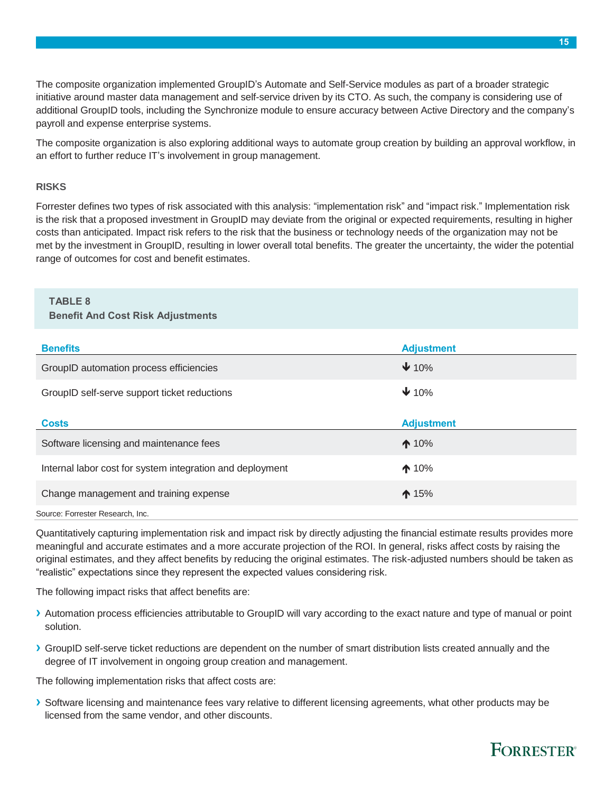The composite organization implemented GroupID's Automate and Self-Service modules as part of a broader strategic initiative around master data management and self-service driven by its CTO. As such, the company is considering use of additional GroupID tools, including the Synchronize module to ensure accuracy between Active Directory and the company's payroll and expense enterprise systems.

The composite organization is also exploring additional ways to automate group creation by building an approval workflow, in an effort to further reduce IT's involvement in group management.

#### **RISKS**

Forrester defines two types of risk associated with this analysis: "implementation risk" and "impact risk." Implementation risk is the risk that a proposed investment in GroupID may deviate from the original or expected requirements, resulting in higher costs than anticipated. Impact risk refers to the risk that the business or technology needs of the organization may not be met by the investment in GroupID, resulting in lower overall total benefits. The greater the uncertainty, the wider the potential range of outcomes for cost and benefit estimates.

### **TABLE 8**

#### **Benefit And Cost Risk Adjustments**

| <b>Benefits</b>                                           | <b>Adjustment</b> |
|-----------------------------------------------------------|-------------------|
| GroupID automation process efficiencies                   | $\bigvee$ 10%     |
| GroupID self-serve support ticket reductions              | $\bigvee$ 10%     |
|                                                           |                   |
| <b>Costs</b>                                              | <b>Adjustment</b> |
| Software licensing and maintenance fees                   | $\bigwedge$ 10%   |
| Internal labor cost for system integration and deployment | $\triangle$ 10%   |
| Change management and training expense                    | $\spadesuit$ 15%  |
|                                                           |                   |

Source: Forrester Research, Inc.

Quantitatively capturing implementation risk and impact risk by directly adjusting the financial estimate results provides more meaningful and accurate estimates and a more accurate projection of the ROI. In general, risks affect costs by raising the original estimates, and they affect benefits by reducing the original estimates. The risk-adjusted numbers should be taken as "realistic" expectations since they represent the expected values considering risk.

The following impact risks that affect benefits are:

- **›** Automation process efficiencies attributable to GroupID will vary according to the exact nature and type of manual or point solution.
- **›** GroupID self-serve ticket reductions are dependent on the number of smart distribution lists created annually and the degree of IT involvement in ongoing group creation and management.

The following implementation risks that affect costs are:

**›** Software licensing and maintenance fees vary relative to different licensing agreements, what other products may be licensed from the same vendor, and other discounts.

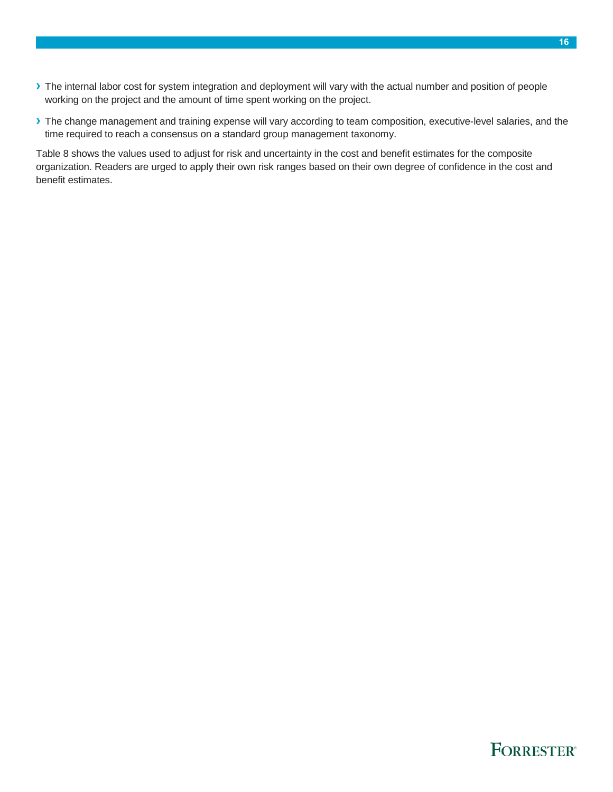- **›** The internal labor cost for system integration and deployment will vary with the actual number and position of people working on the project and the amount of time spent working on the project.
- **›** The change management and training expense will vary according to team composition, executive-level salaries, and the time required to reach a consensus on a standard group management taxonomy.

Table 8 shows the values used to adjust for risk and uncertainty in the cost and benefit estimates for the composite organization. Readers are urged to apply their own risk ranges based on their own degree of confidence in the cost and benefit estimates.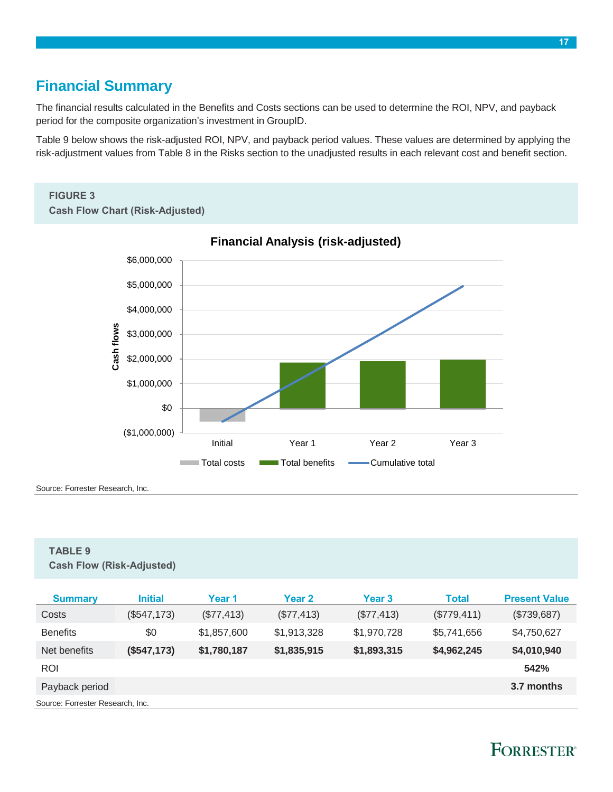### <span id="page-16-0"></span>**Financial Summary**

The financial results calculated in the Benefits and Costs sections can be used to determine the ROI, NPV, and payback period for the composite organization's investment in GroupID.

Table 9 below shows the risk-adjusted ROI, NPV, and payback period values. These values are determined by applying the risk-adjustment values from Table 8 in the Risks section to the unadjusted results in each relevant cost and benefit section.

### **FIGURE 3**

**Cash Flow Chart (Risk-Adjusted)**



#### **Financial Analysis (risk-adjusted)**

Source: Forrester Research, Inc.

#### **TABLE 9**

**Cash Flow (Risk-Adjusted)**

| <b>Summary</b>                   | <b>Initial</b> | Year 1      | Year 2      | Year 3      | <b>Total</b> | <b>Present Value</b> |  |  |
|----------------------------------|----------------|-------------|-------------|-------------|--------------|----------------------|--|--|
| Costs                            | (\$547,173)    | (\$77,413)  | (\$77,413)  | (\$77,413)  | (\$779,411)  | (\$739,687)          |  |  |
| <b>Benefits</b>                  | \$0            | \$1,857,600 | \$1,913,328 | \$1,970,728 | \$5,741,656  | \$4,750,627          |  |  |
| Net benefits                     | (\$547,173)    | \$1,780,187 | \$1,835,915 | \$1,893,315 | \$4,962,245  | \$4,010,940          |  |  |
| <b>ROI</b>                       |                |             |             |             |              | 542%                 |  |  |
| Payback period                   |                |             |             |             |              | 3.7 months           |  |  |
| Source: Forrester Research, Inc. |                |             |             |             |              |                      |  |  |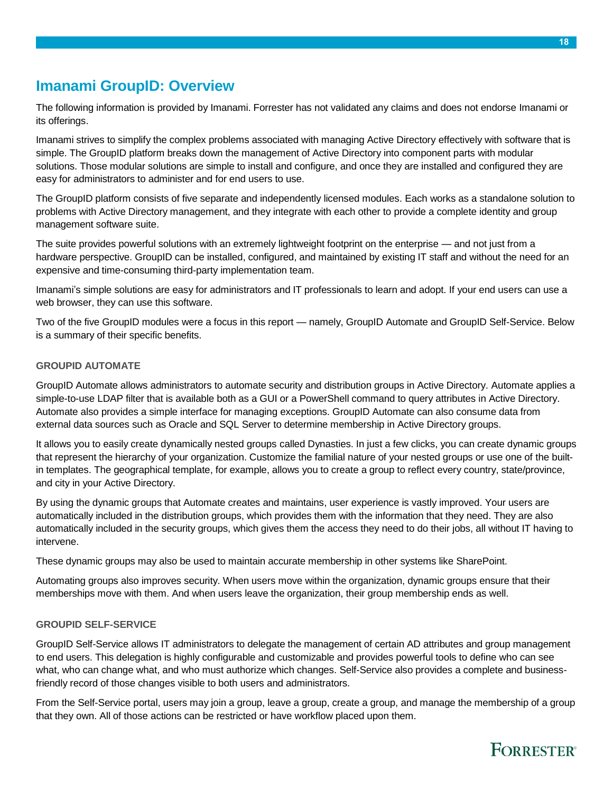### <span id="page-17-0"></span>**Imanami GroupID: Overview**

The following information is provided by Imanami. Forrester has not validated any claims and does not endorse Imanami or its offerings.

Imanami strives to simplify the complex problems associated with managing Active Directory effectively with software that is simple. The GroupID platform breaks down the management of Active Directory into component parts with modular solutions. Those modular solutions are simple to install and configure, and once they are installed and configured they are easy for administrators to administer and for end users to use.

The GroupID platform consists of five separate and independently licensed modules. Each works as a standalone solution to problems with Active Directory management, and they integrate with each other to provide a complete identity and group management software suite.

The suite provides powerful solutions with an extremely lightweight footprint on the enterprise — and not just from a hardware perspective. GroupID can be installed, configured, and maintained by existing IT staff and without the need for an expensive and time-consuming third-party implementation team.

Imanami's simple solutions are easy for administrators and IT professionals to learn and adopt. If your end users can use a web browser, they can use this software.

Two of the five GroupID modules were a focus in this report — namely, GroupID Automate and GroupID Self-Service. Below is a summary of their specific benefits.

#### **GROUPID AUTOMATE**

GroupID Automate allows administrators to automate security and distribution groups in Active Directory. Automate applies a simple-to-use LDAP filter that is available both as a GUI or a PowerShell command to query attributes in Active Directory. Automate also provides a simple interface for managing exceptions. GroupID Automate can also consume data from external data sources such as Oracle and SQL Server to determine membership in Active Directory groups.

It allows you to easily create dynamically nested groups called Dynasties. In just a few clicks, you can create dynamic groups that represent the hierarchy of your organization. Customize the familial nature of your nested groups or use one of the builtin templates. The geographical template, for example, allows you to create a group to reflect every country, state/province, and city in your Active Directory.

By using the dynamic groups that Automate creates and maintains, user experience is vastly improved. Your users are automatically included in the distribution groups, which provides them with the information that they need. They are also automatically included in the security groups, which gives them the access they need to do their jobs, all without IT having to intervene.

These dynamic groups may also be used to maintain accurate membership in other systems like SharePoint.

Automating groups also improves security. When users move within the organization, dynamic groups ensure that their memberships move with them. And when users leave the organization, their group membership ends as well.

#### **GROUPID SELF-SERVICE**

GroupID Self-Service allows IT administrators to delegate the management of certain AD attributes and group management to end users. This delegation is highly configurable and customizable and provides powerful tools to define who can see what, who can change what, and who must authorize which changes. Self-Service also provides a complete and businessfriendly record of those changes visible to both users and administrators.

From the Self-Service portal, users may join a group, leave a group, create a group, and manage the membership of a group that they own. All of those actions can be restricted or have workflow placed upon them.

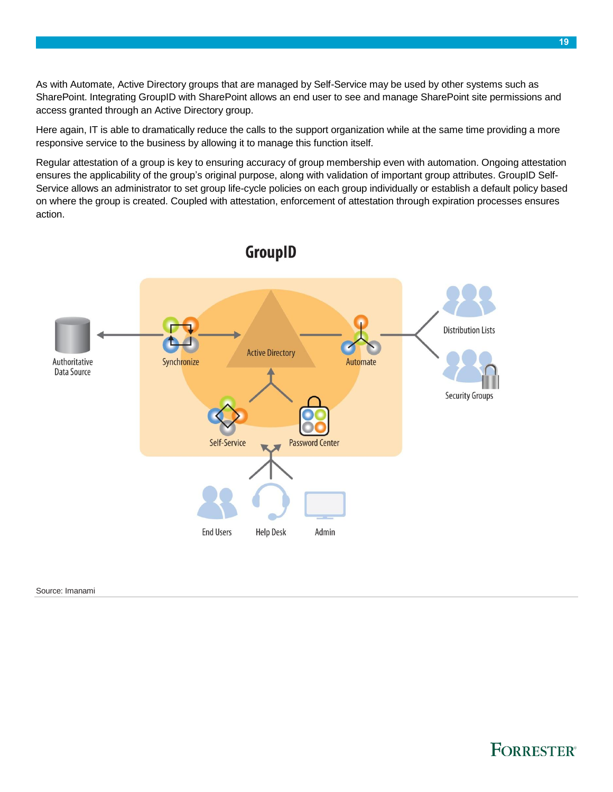As with Automate, Active Directory groups that are managed by Self-Service may be used by other systems such as SharePoint. Integrating GroupID with SharePoint allows an end user to see and manage SharePoint site permissions and access granted through an Active Directory group.

Here again, IT is able to dramatically reduce the calls to the support organization while at the same time providing a more responsive service to the business by allowing it to manage this function itself.

Regular attestation of a group is key to ensuring accuracy of group membership even with automation. Ongoing attestation ensures the applicability of the group's original purpose, along with validation of important group attributes. GroupID Self-Service allows an administrator to set group life-cycle policies on each group individually or establish a default policy based on where the group is created. Coupled with attestation, enforcement of attestation through expiration processes ensures action.



### GroupID

Source: Imanami

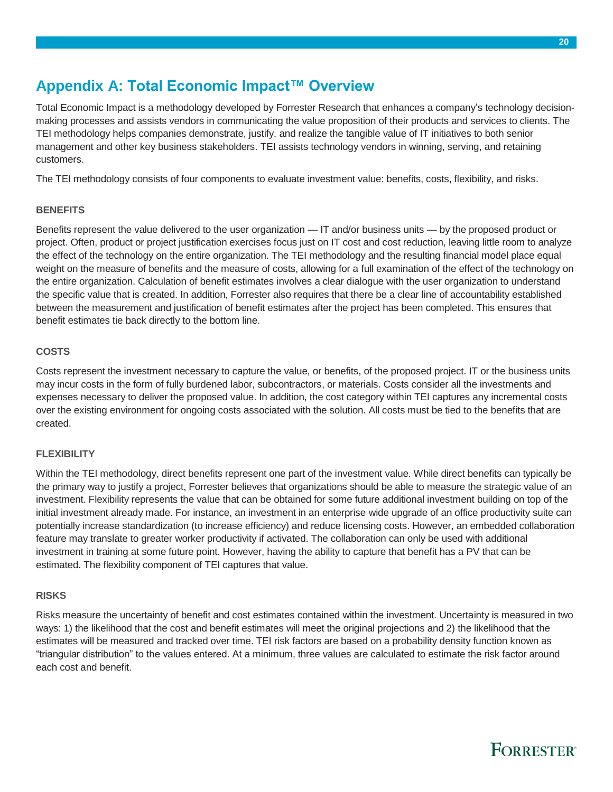### <span id="page-19-0"></span>**Appendix A: Total Economic Impact™ Overview**

Total Economic Impact is a methodology developed by Forrester Research that enhances a company's technology decisionmaking processes and assists vendors in communicating the value proposition of their products and services to clients. The TEI methodology helps companies demonstrate, justify, and realize the tangible value of IT initiatives to both senior management and other key business stakeholders. TEI assists technology vendors in winning, serving, and retaining customers.

The TEI methodology consists of four components to evaluate investment value: benefits, costs, flexibility, and risks.

#### **BENEFITS**

Benefits represent the value delivered to the user organization — IT and/or business units — by the proposed product or project. Often, product or project justification exercises focus just on IT cost and cost reduction, leaving little room to analyze the effect of the technology on the entire organization. The TEI methodology and the resulting financial model place equal weight on the measure of benefits and the measure of costs, allowing for a full examination of the effect of the technology on the entire organization. Calculation of benefit estimates involves a clear dialogue with the user organization to understand the specific value that is created. In addition, Forrester also requires that there be a clear line of accountability established between the measurement and justification of benefit estimates after the project has been completed. This ensures that benefit estimates tie back directly to the bottom line.

#### **COSTS**

Costs represent the investment necessary to capture the value, or benefits, of the proposed project. IT or the business units may incur costs in the form of fully burdened labor, subcontractors, or materials. Costs consider all the investments and expenses necessary to deliver the proposed value. In addition, the cost category within TEI captures any incremental costs over the existing environment for ongoing costs associated with the solution. All costs must be tied to the benefits that are created.

#### **FLEXIBILITY**

Within the TEI methodology, direct benefits represent one part of the investment value. While direct benefits can typically be the primary way to justify a project, Forrester believes that organizations should be able to measure the strategic value of an investment. Flexibility represents the value that can be obtained for some future additional investment building on top of the initial investment already made. For instance, an investment in an enterprise wide upgrade of an office productivity suite can potentially increase standardization (to increase efficiency) and reduce licensing costs. However, an embedded collaboration feature may translate to greater worker productivity if activated. The collaboration can only be used with additional investment in training at some future point. However, having the ability to capture that benefit has a PV that can be estimated. The flexibility component of TEI captures that value.

#### **RISKS**

Risks measure the uncertainty of benefit and cost estimates contained within the investment. Uncertainty is measured in two ways: 1) the likelihood that the cost and benefit estimates will meet the original projections and 2) the likelihood that the estimates will be measured and tracked over time. TEI risk factors are based on a probability density function known as "triangular distribution" to the values entered. At a minimum, three values are calculated to estimate the risk factor around each cost and benefit.

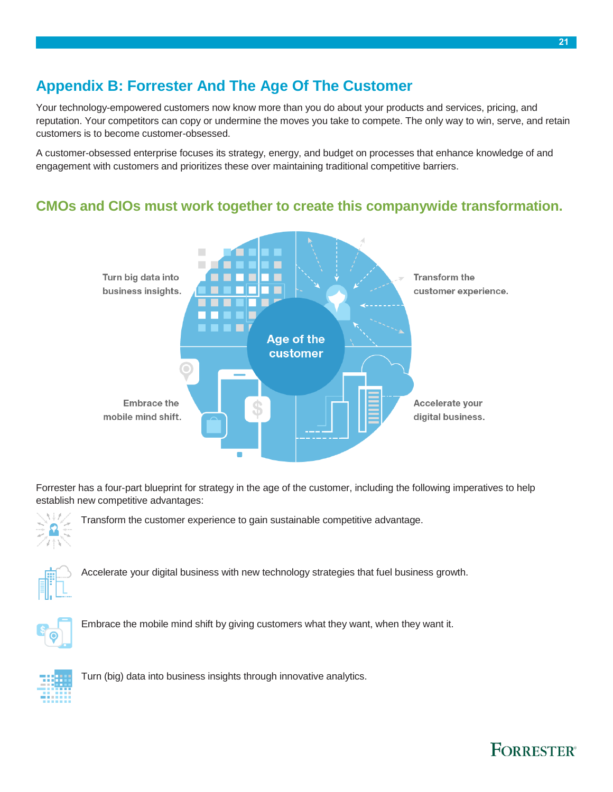## <span id="page-20-0"></span>**Appendix B: Forrester And The Age Of The Customer**

Your technology-empowered customers now know more than you do about your products and services, pricing, and reputation. Your competitors can copy or undermine the moves you take to compete. The only way to win, serve, and retain customers is to become customer-obsessed.

A customer-obsessed enterprise focuses its strategy, energy, and budget on processes that enhance knowledge of and engagement with customers and prioritizes these over maintaining traditional competitive barriers.

### **CMOs and CIOs must work together to create this companywide transformation.**



Forrester has a four-part blueprint for strategy in the age of the customer, including the following imperatives to help establish new competitive advantages:



Transform the customer experience to gain sustainable competitive advantage.



Accelerate your digital business with new technology strategies that fuel business growth.



Embrace the mobile mind shift by giving customers what they want, when they want it.



Turn (big) data into business insights through innovative analytics.

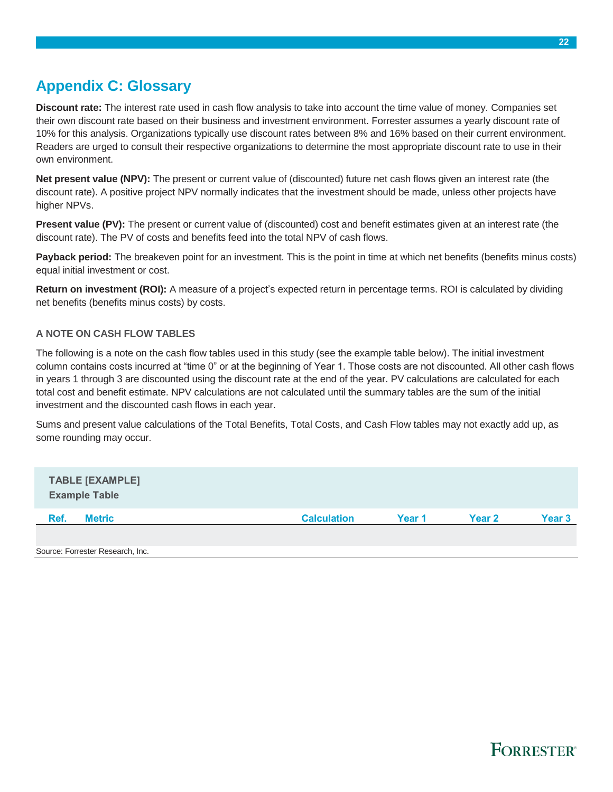### <span id="page-21-0"></span>**Appendix C: Glossary**

**Discount rate:** The interest rate used in cash flow analysis to take into account the time value of money. Companies set their own discount rate based on their business and investment environment. Forrester assumes a yearly discount rate of 10% for this analysis. Organizations typically use discount rates between 8% and 16% based on their current environment. Readers are urged to consult their respective organizations to determine the most appropriate discount rate to use in their own environment.

**Net present value (NPV):** The present or current value of (discounted) future net cash flows given an interest rate (the discount rate). A positive project NPV normally indicates that the investment should be made, unless other projects have higher NPVs.

**Present value (PV):** The present or current value of (discounted) cost and benefit estimates given at an interest rate (the discount rate). The PV of costs and benefits feed into the total NPV of cash flows.

**Payback period:** The breakeven point for an investment. This is the point in time at which net benefits (benefits minus costs) equal initial investment or cost.

**Return on investment (ROI):** A measure of a project's expected return in percentage terms. ROI is calculated by dividing net benefits (benefits minus costs) by costs.

#### **A NOTE ON CASH FLOW TABLES**

The following is a note on the cash flow tables used in this study (see the example table below). The initial investment column contains costs incurred at "time 0" or at the beginning of Year 1. Those costs are not discounted. All other cash flows in years 1 through 3 are discounted using the discount rate at the end of the year. PV calculations are calculated for each total cost and benefit estimate. NPV calculations are not calculated until the summary tables are the sum of the initial investment and the discounted cash flows in each year.

Sums and present value calculations of the Total Benefits, Total Costs, and Cash Flow tables may not exactly add up, as some rounding may occur.

| <b>TABLE [EXAMPLE]</b><br><b>Example Table</b> |                    |        |        |        |
|------------------------------------------------|--------------------|--------|--------|--------|
| Ref.<br><b>Metric</b>                          | <b>Calculation</b> | Year 1 | Year 2 | Year 3 |
|                                                |                    |        |        |        |
| Source: Forrester Research, Inc.               |                    |        |        |        |